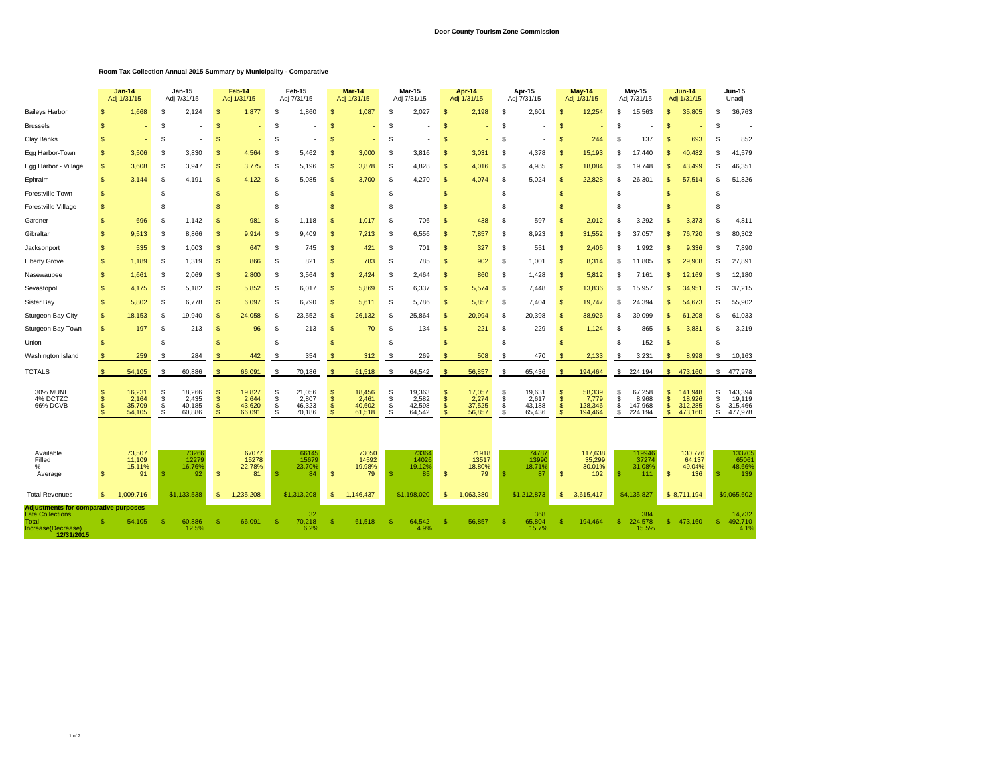## **Door County Tourism Zone Commission**

## **Room Tax Collection Annual 2015 Summary by Municipality - Comparative**

|                                                                                                                                              |               | $Jan-14$<br>Adj 1/31/15                       |                              | Jan-15<br>Adj 7/31/15               |               | Feb-14<br>Adj 1/31/15                       |                   | Feb-15<br>Adj 7/31/15               |                | $Mar-14$<br>Adj 1/31/15             |                    | Mar-15<br>Adj 7/31/15               | Apr-14<br>Adj 1/31/15 |                                     |                     | Apr-15<br>Adj 7/31/15                 |                                           | <b>May-14</b><br>Adj 1/31/15          |                     | May-15<br>Adj 7/31/15                  | $Jun-14$<br>Adj 1/31/15    |                                         | Jun-15<br>Unadj   |                                                 |
|----------------------------------------------------------------------------------------------------------------------------------------------|---------------|-----------------------------------------------|------------------------------|-------------------------------------|---------------|---------------------------------------------|-------------------|-------------------------------------|----------------|-------------------------------------|--------------------|-------------------------------------|-----------------------|-------------------------------------|---------------------|---------------------------------------|-------------------------------------------|---------------------------------------|---------------------|----------------------------------------|----------------------------|-----------------------------------------|-------------------|-------------------------------------------------|
| <b>Baileys Harbor</b>                                                                                                                        | 9             | 1,668                                         | \$                           | 2,124                               | S             | 1,877                                       | S                 | 1,860                               | S              | 1,087                               | £                  | 2,027                               | \$.                   | 2,198                               | \$.                 | 2,601                                 | \$                                        | 12,254                                | \$.                 | 15,563                                 | S                          | 35,805                                  | \$                | 36,763                                          |
| <b>Brussels</b>                                                                                                                              | \$            |                                               | \$                           |                                     | \$            |                                             | S                 |                                     | S              |                                     | S                  |                                     | \$                    |                                     | S                   |                                       | \$                                        |                                       | S.                  |                                        | <sub>\$</sub>              |                                         | \$                |                                                 |
| <b>Clay Banks</b>                                                                                                                            | \$            |                                               | \$                           |                                     | \$            |                                             | S                 |                                     | S              |                                     | £                  |                                     | \$.                   |                                     | S                   |                                       | <sup>\$</sup>                             | 244                                   | £.                  | 137                                    | \$                         | 693                                     | S                 | 852                                             |
| Egg Harbor-Town                                                                                                                              | S             | 3,506                                         | S                            | 3,830                               | S             | 4,564                                       | S                 | 5,462                               | S              | 3,000                               | S                  | 3,816                               | S                     | 3,031                               | S                   | 4,378                                 | S                                         | 15,193                                | -8                  | 17.440                                 | £.                         | 40.482                                  | S                 | 41,579                                          |
| Egg Harbor - Village                                                                                                                         | \$            | 3,608                                         | -S                           | 3,947                               | S             | 3,775                                       | S.                | 5,196                               | S              | 3,878                               | S                  | 4,828                               | <b>S</b>              | 4,016                               | <b>S</b>            | 4,985                                 | $\mathcal{S}$                             | 18,084                                |                     | 19,748                                 | S                          | 43,499                                  | S                 | 46,351                                          |
| Ephraim                                                                                                                                      | \$            | 3,144                                         | -S                           | 4,191                               | S             | 4,122                                       | S                 | 5,085                               | S              | 3,700                               | S.                 | 4,270                               | \$                    | 4,074                               | \$                  | 5,024                                 | <b>S</b>                                  | 22,828                                | -S                  | 26,301                                 | S                          | 57,514                                  | \$                | 51,826                                          |
| Forestville-Town                                                                                                                             | \$            |                                               | \$                           |                                     | S             |                                             | S                 |                                     | S              |                                     | \$                 |                                     | \$                    |                                     | S                   |                                       | <b>S</b>                                  |                                       | £.                  |                                        | S                          |                                         | S                 |                                                 |
| Forestville-Village                                                                                                                          | \$            |                                               | \$                           |                                     | S             |                                             | S                 |                                     | S              |                                     | \$                 |                                     | \$                    |                                     | S                   |                                       | \$                                        |                                       | £.                  |                                        | S                          |                                         | S                 |                                                 |
| Gardner                                                                                                                                      | \$            | 696                                           | <b>S</b>                     | 1.142                               | S             | 981                                         | <sub>S</sub>      | 1,118                               | S.             | 1,017                               | S.                 | 706                                 | <b>S</b>              | 438                                 | <b>S</b>            | 597                                   | <sub>\$</sub>                             | 2,012                                 |                     | 3.292                                  |                            | 3,373                                   | S                 | 4,811                                           |
| Gibraltar                                                                                                                                    | \$            | 9.513                                         | \$                           | 8,866                               | S             | 9.914                                       | S                 | 9,409                               | S              | 7,213                               | S                  | 6,556                               | <b>S</b>              | 7,857                               | <b>S</b>            | 8.923                                 | S                                         | 31,552                                |                     | 37,057                                 | S                          | 76,720                                  | S                 | 80,302                                          |
| Jacksonport                                                                                                                                  | \$            | 535                                           | \$                           | 1,003                               | \$            | 647                                         | S                 | 745                                 | <sup>\$</sup>  | 421                                 | <b>S</b>           | 701                                 | \$                    | 327                                 | \$.                 | 551                                   | \$                                        | 2,406                                 | £.                  | 1.992                                  | S                          | 9,336                                   | \$.               | 7,890                                           |
| <b>Liberty Grove</b>                                                                                                                         | \$            | 1.189                                         | \$                           | 1,319                               | \$            | 866                                         | S                 | 821                                 | \$             | 783                                 | \$                 | 785                                 | \$                    | 902                                 | \$                  | 1,001                                 | \$                                        | 8,314                                 | £.                  | 11.805                                 | \$                         | 29,908                                  | \$                | 27,891                                          |
| Nasewaupee                                                                                                                                   | \$            | 1,661                                         | <b>S</b>                     | 2,069                               | \$            | 2,800                                       | S.                | 3,564                               | \$             | 2,424                               | S.                 | 2,464                               | \$.                   | 860                                 | \$.                 | 1,428                                 | <sup>\$</sup>                             | 5,812                                 |                     | 7,161                                  | \$                         | 12,169                                  | S                 | 12,180                                          |
| Sevastopol                                                                                                                                   | \$            | 4.175                                         | \$                           | 5,182                               | S             | 5,852                                       | S.                | 6,017                               | S.             | 5,869                               | S                  | 6,337                               | \$                    | 5,574                               | <b>S</b>            | 7,448                                 | $\mathcal{S}$                             | 13,836                                |                     | 15,957                                 | S                          | 34,951                                  | S                 | 37,215                                          |
| Sister Bay                                                                                                                                   | \$            | 5.802                                         | S                            | 6,778                               | S             | 6,097                                       | S                 | 6,790                               | S              | 5,611                               | S                  | 5,786                               | <b>S</b>              | 5,857                               | <b>S</b>            | 7,404                                 | -S                                        | 19,747                                | -S                  | 24,394                                 | S.                         | 54,673                                  | S                 | 55,902                                          |
| Sturgeon Bay-City                                                                                                                            | \$            | 18,153                                        | \$                           | 19,940                              | S             | 24,058                                      | S.                | 23,552                              | <sup>\$</sup>  | 26,132                              | \$                 | 25,864                              | \$.                   | 20,994                              | £.                  | 20,398                                | <sup>\$</sup>                             | 38,926                                | -S                  | 39,099                                 | \$                         | 61,208                                  | \$                | 61,033                                          |
| Sturgeon Bay-Town                                                                                                                            | \$            | 197                                           | <b>S</b>                     | 213                                 | S             | 96                                          | s.                | 213                                 | S              | 70                                  | S                  | 134                                 | \$.                   | 221                                 | £.                  | 229                                   | <sup>\$</sup>                             | 1,124                                 |                     | 865                                    | \$                         | 3,831                                   | S                 | 3,219                                           |
| Union                                                                                                                                        | \$            |                                               | \$                           |                                     | S             |                                             | S                 |                                     | \$             |                                     | S                  |                                     | \$.                   |                                     | £.                  |                                       | \$                                        |                                       | £.                  | 152                                    | <sub>\$</sub>              |                                         | S                 |                                                 |
| Washington Island                                                                                                                            | <b>S</b>      | 259                                           | S                            | 284                                 | S             | 442                                         | S                 | 354                                 | S              | 312                                 | S                  | 269                                 | -S                    | 508                                 | \$                  | 470                                   | -S                                        | 2,133                                 | -S                  | 3,231                                  | S                          | 8,998                                   | S                 | 10,163                                          |
| <b>TOTALS</b>                                                                                                                                | <b>S</b>      | 54,105                                        | \$                           | 60,886                              | \$            | 66,091                                      | \$                | 70,186                              | S              | 61,518                              | S                  | 64,542                              | \$                    | 56,857                              | \$                  | 65,436                                | <b>S</b>                                  | 194,464                               |                     | \$224,194                              | $\mathbb{S}$               | 473,160                                 | \$                | 477,978                                         |
| <b>30% MUNI</b><br>4% DCTZC<br>66% DCVB                                                                                                      | S<br>\$.<br>S | 16,231<br>2,164<br>35,709<br>54,105           | \$<br>$\mathbb S$<br>\$<br>S | 18,266<br>2,435<br>40,185<br>60,886 | S<br>\$<br>ç, | 19,827<br>2,644<br>43,620<br>66,091         | S<br>\$<br>S<br>S | 21,056<br>2,807<br>46,323<br>70,186 | \$<br>\$<br>\$ | 18,456<br>2,461<br>40,602<br>61.518 | \$<br>\$<br>S<br>S | 19,363<br>2,582<br>42,598<br>64,542 | \$<br>\$<br>S         | 17,057<br>2,274<br>37,525<br>56,857 | \$<br>\$<br>S<br>£. | 19,631<br>2,617<br>43,188<br>65,436   | \$<br>$\mathbf{s}$<br><sup>\$</sup><br>-S | 58,339<br>7,779<br>128,346<br>194,464 | S<br>£.<br>\$<br>-S | 67,258<br>8,968<br>147,968<br>224,194  | \$<br><b>S</b><br>\$<br>-S | 141,948<br>18,926<br>312,285<br>473,160 | S<br>S<br>S<br>£. | 143,394<br>19,119<br>315,466<br>477,978         |
| Available<br>Filled<br>%<br>Average                                                                                                          | \$<br>\$.     | 73,507<br>11,109<br>15.11%<br>91<br>1.009.716 | -8                           | 73266<br>12279<br>16.76%<br>92      | \$<br>\$      | 67077<br>15278<br>22.78%<br>81<br>1.235.208 | -S                | 66145<br>15679<br>23.70%<br>84      | \$<br>\$       | 73050<br>14592<br>19.98%<br>79      | S                  | 73364<br>14026<br>19.12%<br>85      | \$                    | 71918<br>13517<br>18.80%<br>79      | -S                  | 7478<br>13990<br>18.71%<br>87         | $\mathsf{\$}$                             | 117,638<br>35,299<br>30.01%<br>102    | -S                  | 119946<br>37274<br>31.08%<br>111       | $\mathsf{S}$               | 130,776<br>64,137<br>49.04%<br>136      | <b>S</b>          | 133705<br>65061<br>48.66%<br>139<br>\$9,065,602 |
| <b>Total Revenues</b><br><b>Adjustments for comparative purposes</b><br><b>Late Collections</b><br>Total<br>Increase(Decrease)<br>12/31/2015 |               | 54,105                                        |                              | \$1,133,538<br>60,886<br>12.5%      | S             | 66,091                                      | -S                | \$1,313,208<br>32<br>70,218<br>6.2% | S              | 1,146,437<br>61,518                 | S                  | \$1,198,020<br>64,542<br>4.9%       | s.                    | 1,063,380<br>56,857                 |                     | \$1,212,873<br>368<br>65,804<br>15.7% | \$<br>\$                                  | 3,615,417<br>194.464                  | -S                  | \$4,135,827<br>384<br>224,578<br>15.5% | s.                         | \$8,711,194<br>473,160                  | s.                | 14,732<br>492,710<br>4.1%                       |